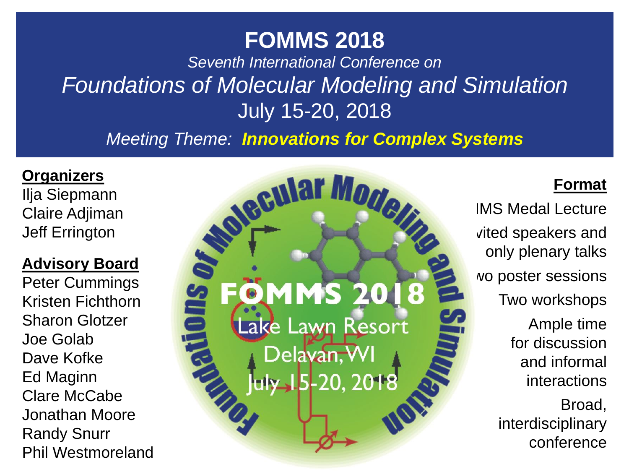*Seventh International Conference on Foundations of Molecular Modeling and Simulation* July 15-20, 2018

*Meeting Theme: Innovations for Complex Systems*

#### **Organizers**

Ilja Siepmann Claire Adjiman Jeff Errington

#### **Advisory Board**

Peter Cummings Kristen Fichthorn Sharon Glotzer Joe Golab Dave Kofke Ed Maginn Clare McCabe Jonathan Moore Randy Snurr Phil Westmoreland

**MS** ake Lawn Resort Delavan, WI  $-20.2018$ 

### **Format**

**IMS Medal Lecture** vited speakers and only plenary talks Two poster sessions Two workshops Ample time for discussion and informal interactions Broad, interdisciplinary conference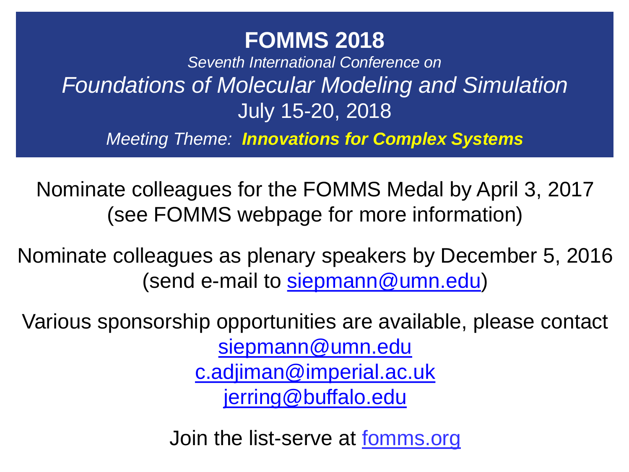*Seventh International Conference on Foundations of Molecular Modeling and Simulation* July 15-20, 2018

*Meeting Theme: Innovations for Complex Systems*

Nominate colleagues for the FOMMS Medal by April 3, 2017 (see FOMMS webpage for more information)

Nominate colleagues as plenary speakers by December 5, 2016 (send e-mail to [siepmann@umn.edu\)](mailto:siepmann@umn.edu)

Various sponsorship opportunities are available, please contact [siepmann@umn.edu](mailto:siepmann@umn.edu) [c.adjiman@imperial.ac.uk](mailto:c.adjiman@imperial.ac.uk) [jerring@buffalo.edu](mailto:jerring@buffalo.edu)

Join the list-serve at fomms.org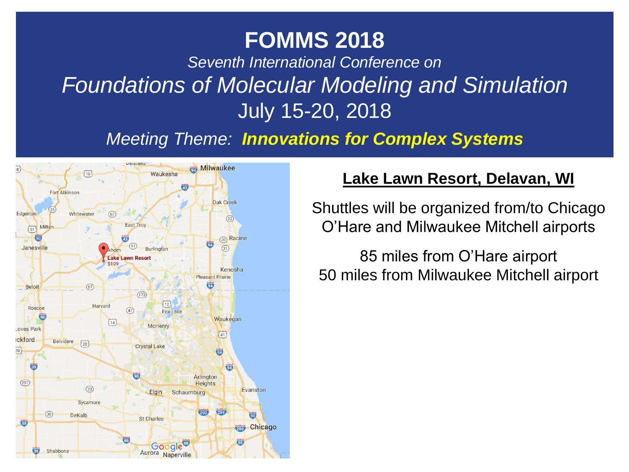*Seventh International Conference on Foundations of Molecular Modeling and Simulation* July 15-20, 2018 Lake Lawn Resort - Google Maps https://www.google.com/maps/place/Lake+Lawn+Resort/@42....

**Meeting Theme: Innovations for Complex Systems** 



#### **Lake Lawn Resort, Delavan, WI**

Shuttles will be organized from/to Chicago O'Hare and Milwaukee Mitchell airports

85 miles from O'Hare airport 50 miles from Milwaukee Mitchell airport